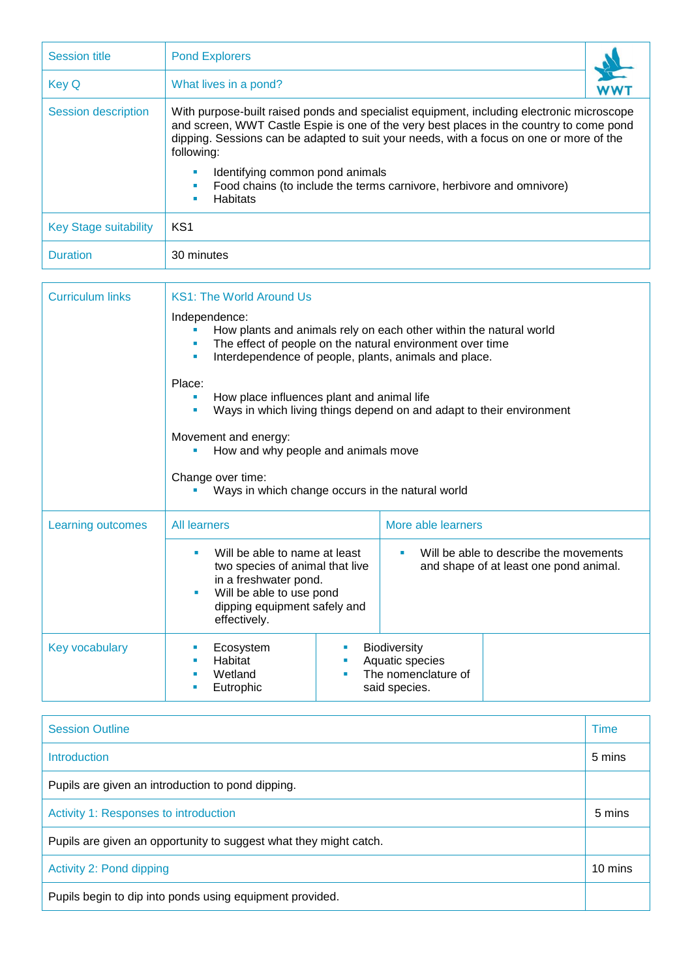| <b>Session title</b>         | <b>Pond Explorers</b>                                                                                                                                                                                                                                                                                                                                                                                                       |
|------------------------------|-----------------------------------------------------------------------------------------------------------------------------------------------------------------------------------------------------------------------------------------------------------------------------------------------------------------------------------------------------------------------------------------------------------------------------|
| Key Q                        | What lives in a pond?                                                                                                                                                                                                                                                                                                                                                                                                       |
| Session description          | With purpose-built raised ponds and specialist equipment, including electronic microscope<br>and screen, WWT Castle Espie is one of the very best places in the country to come pond<br>dipping. Sessions can be adapted to suit your needs, with a focus on one or more of the<br>following:<br>Identifying common pond animals<br>Food chains (to include the terms carnivore, herbivore and omnivore)<br><b>Habitats</b> |
| <b>Key Stage suitability</b> | KS <sub>1</sub>                                                                                                                                                                                                                                                                                                                                                                                                             |
| <b>Duration</b>              | 30 minutes                                                                                                                                                                                                                                                                                                                                                                                                                  |

| <b>Curriculum links</b> | <b>KS1: The World Around Us</b>                                                                                                                                                                                |                                                                                        |  |  |
|-------------------------|----------------------------------------------------------------------------------------------------------------------------------------------------------------------------------------------------------------|----------------------------------------------------------------------------------------|--|--|
|                         | Independence:<br>How plants and animals rely on each other within the natural world<br>The effect of people on the natural environment over time<br>Interdependence of people, plants, animals and place.<br>ш |                                                                                        |  |  |
|                         | Place:<br>How place influences plant and animal life<br>ш<br>Ways in which living things depend on and adapt to their environment<br>٠                                                                         |                                                                                        |  |  |
|                         | Movement and energy:<br>How and why people and animals move<br>Change over time:<br>Ways in which change occurs in the natural world                                                                           |                                                                                        |  |  |
|                         |                                                                                                                                                                                                                |                                                                                        |  |  |
| Learning outcomes       | <b>All learners</b>                                                                                                                                                                                            | More able learners                                                                     |  |  |
|                         | Will be able to name at least<br>two species of animal that live<br>in a freshwater pond.<br>Will be able to use pond<br>dipping equipment safely and<br>effectively.                                          | Will be able to describe the movements<br>a.<br>and shape of at least one pond animal. |  |  |
| Key vocabulary          | Biodiversity<br>Ecosystem<br>ш<br>Habitat<br>Wetland<br>Eutrophic<br>said species.                                                                                                                             | Aquatic species<br>The nomenclature of                                                 |  |  |

| <b>Session Outline</b>                                            | Time    |  |
|-------------------------------------------------------------------|---------|--|
| Introduction                                                      | 5 mins  |  |
| Pupils are given an introduction to pond dipping.                 |         |  |
| Activity 1: Responses to introduction                             |         |  |
| Pupils are given an opportunity to suggest what they might catch. |         |  |
| Activity 2: Pond dipping                                          | 10 mins |  |
| Pupils begin to dip into ponds using equipment provided.          |         |  |